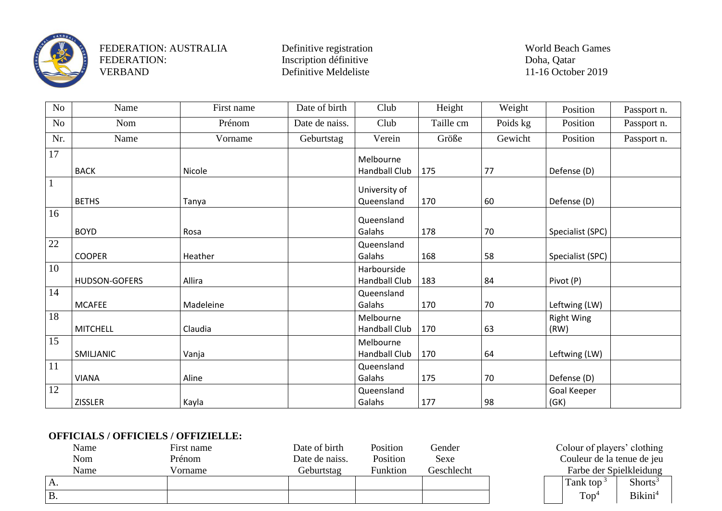

VERBAND Definitive Meldeliste 11-16 October 2019

| No              | Name            | First name | Date of birth  | Club                 | Height    | Weight   | Position          | Passport n. |
|-----------------|-----------------|------------|----------------|----------------------|-----------|----------|-------------------|-------------|
| No              | Nom             | Prénom     | Date de naiss. | Club                 | Taille cm | Poids kg | Position          | Passport n. |
| Nr.             | Name            | Vorname    | Geburtstag     | Verein               | Größe     | Gewicht  | Position          | Passport n. |
| $\overline{17}$ |                 |            |                | Melbourne            |           |          |                   |             |
|                 | <b>BACK</b>     | Nicole     |                | <b>Handball Club</b> | 175       | 77       | Defense (D)       |             |
| $\mathbf{1}$    |                 |            |                | University of        |           |          |                   |             |
|                 | <b>BETHS</b>    | Tanya      |                | Queensland           | 170       | 60       | Defense (D)       |             |
| 16              |                 |            |                | Queensland           |           |          |                   |             |
|                 | <b>BOYD</b>     | Rosa       |                | Galahs               | 178       | 70       | Specialist (SPC)  |             |
| 22              |                 |            |                | Queensland           |           |          |                   |             |
|                 | <b>COOPER</b>   | Heather    |                | Galahs               | 168       | 58       | Specialist (SPC)  |             |
| 10              |                 |            |                | Harbourside          |           |          |                   |             |
|                 | HUDSON-GOFERS   | Allira     |                | <b>Handball Club</b> | 183       | 84       | Pivot (P)         |             |
| 14              |                 |            |                | Queensland           |           |          |                   |             |
|                 | <b>MCAFEE</b>   | Madeleine  |                | Galahs               | 170       | 70       | Leftwing (LW)     |             |
| 18              |                 |            |                | Melbourne            |           |          | <b>Right Wing</b> |             |
|                 | <b>MITCHELL</b> | Claudia    |                | <b>Handball Club</b> | 170       | 63       | (RW)              |             |
| 15              |                 |            |                | Melbourne            |           |          |                   |             |
|                 | SMILJANIC       | Vanja      |                | <b>Handball Club</b> | 170       | 64       | Leftwing (LW)     |             |
| 11              |                 |            |                | Queensland           |           |          |                   |             |
|                 | <b>VIANA</b>    | Aline      |                | Galahs               | 175       | 70       | Defense (D)       |             |
| 12              |                 |            |                | Queensland           |           |          | Goal Keeper       |             |
|                 | <b>ZISSLER</b>  | Kayla      |                | Galahs               | 177       | 98       | (GK)              |             |

## **OFFICIALS / OFFICIELS / OFFIZIELLE:**

| Name      | First name | Date of birth  | Position | Gender     | Colour of players' clothing |                     |
|-----------|------------|----------------|----------|------------|-----------------------------|---------------------|
| Nom       | Prénom     | Date de naiss. | Position | Sexe       | Couleur de la tenue de jeu  |                     |
| Name      | Vorname    | Geburtstag     | Funktion | Geschlecht | Farbe der Spielkleidung     |                     |
| Α.        |            |                |          |            | Tank top <sup>3</sup>       | Shorts <sup>3</sup> |
| <b>B.</b> |            |                |          |            | Top                         | Bikini <sup>4</sup> |